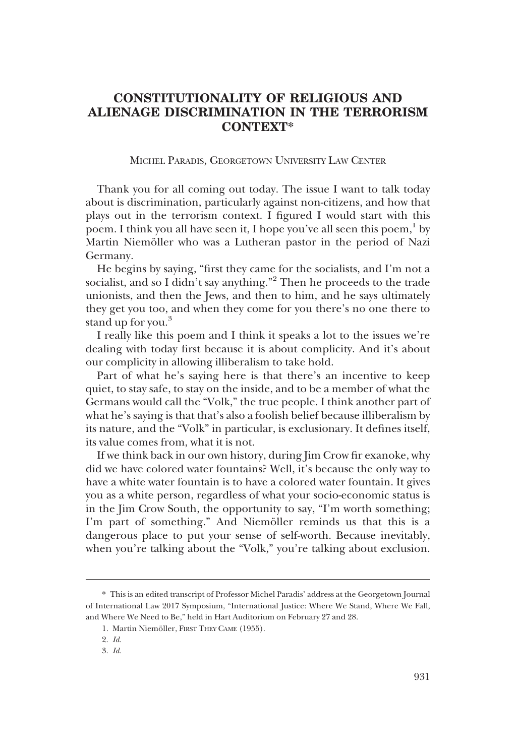## **CONSTITUTIONALITY OF RELIGIOUS AND ALIENAGE DISCRIMINATION IN THE TERRORISM CONTEXT\***

## MICHEL PARADIS, GEORGETOWN UNIVERSITY LAW CENTER

Thank you for all coming out today. The issue I want to talk today about is discrimination, particularly against non-citizens, and how that plays out in the terrorism context. I figured I would start with this poem. I think you all have seen it, I hope you've all seen this poem, $<sup>1</sup>$  by</sup> Martin Niemöller who was a Lutheran pastor in the period of Nazi Germany.

He begins by saying, "first they came for the socialists, and I'm not a socialist, and so I didn't say anything."<sup>2</sup> Then he proceeds to the trade unionists, and then the Jews, and then to him, and he says ultimately they get you too, and when they come for you there's no one there to stand up for you.<sup>3</sup>

I really like this poem and I think it speaks a lot to the issues we're dealing with today first because it is about complicity. And it's about our complicity in allowing illiberalism to take hold.

Part of what he's saying here is that there's an incentive to keep quiet, to stay safe, to stay on the inside, and to be a member of what the Germans would call the "Volk," the true people. I think another part of what he's saying is that that's also a foolish belief because illiberalism by its nature, and the "Volk" in particular, is exclusionary. It defines itself, its value comes from, what it is not.

If we think back in our own history, during Jim Crow fir exanoke, why did we have colored water fountains? Well, it's because the only way to have a white water fountain is to have a colored water fountain. It gives you as a white person, regardless of what your socio-economic status is in the Jim Crow South, the opportunity to say, "I'm worth something; I'm part of something." And Niemöller reminds us that this is a dangerous place to put your sense of self-worth. Because inevitably, when you're talking about the "Volk," you're talking about exclusion.

<sup>\*</sup> This is an edited transcript of Professor Michel Paradis' address at the Georgetown Journal of International Law 2017 Symposium, "International Justice: Where We Stand, Where We Fall, and Where We Need to Be," held in Hart Auditorium on February 27 and 28.

<sup>1.</sup> Martin Niemöller, FIRST THEY CAME (1955).

<sup>2.</sup> *Id.*

<sup>3.</sup> *Id.*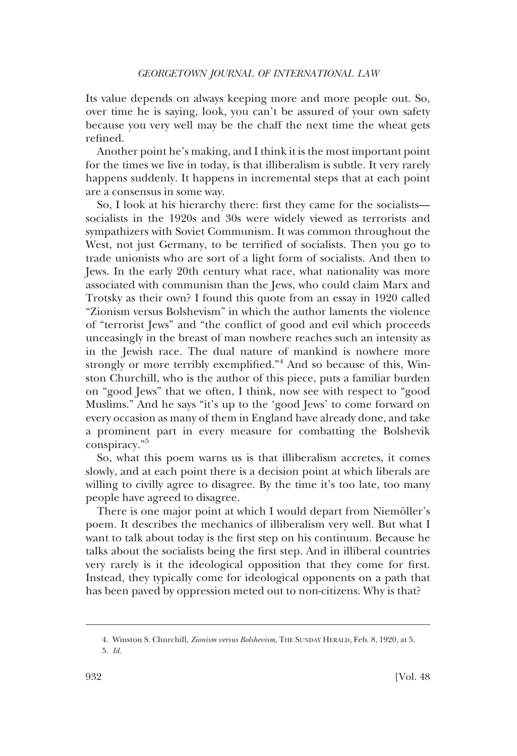Its value depends on always keeping more and more people out. So, over time he is saying, look, you can't be assured of your own safety because you very well may be the chaff the next time the wheat gets refined.

Another point he's making, and I think it is the most important point for the times we live in today, is that illiberalism is subtle. It very rarely happens suddenly. It happens in incremental steps that at each point are a consensus in some way.

So, I look at his hierarchy there: first they came for the socialists socialists in the 1920s and 30s were widely viewed as terrorists and sympathizers with Soviet Communism. It was common throughout the West, not just Germany, to be terrified of socialists. Then you go to trade unionists who are sort of a light form of socialists. And then to Jews. In the early 20th century what race, what nationality was more associated with communism than the Jews, who could claim Marx and Trotsky as their own? I found this quote from an essay in 1920 called "Zionism versus Bolshevism" in which the author laments the violence of "terrorist Jews" and "the conflict of good and evil which proceeds unceasingly in the breast of man nowhere reaches such an intensity as in the Jewish race. The dual nature of mankind is nowhere more strongly or more terribly exemplified."<sup>4</sup> And so because of this, Winston Churchill, who is the author of this piece, puts a familiar burden on "good Jews" that we often, I think, now see with respect to "good Muslims." And he says "it's up to the 'good Jews' to come forward on every occasion as many of them in England have already done, and take a prominent part in every measure for combatting the Bolshevik conspiracy."5

So, what this poem warns us is that illiberalism accretes, it comes slowly, and at each point there is a decision point at which liberals are willing to civilly agree to disagree. By the time it's too late, too many people have agreed to disagree.

There is one major point at which I would depart from Niemöller's poem. It describes the mechanics of illiberalism very well. But what I want to talk about today is the first step on his continuum. Because he talks about the socialists being the first step. And in illiberal countries very rarely is it the ideological opposition that they come for first. Instead, they typically come for ideological opponents on a path that has been paved by oppression meted out to non-citizens. Why is that?

<sup>4.</sup> Winston S. Churchill, *Zionism versus Bolshevism*, THE SUNDAY HERALD, Feb. 8, 1920, at 5. 5. *Id.*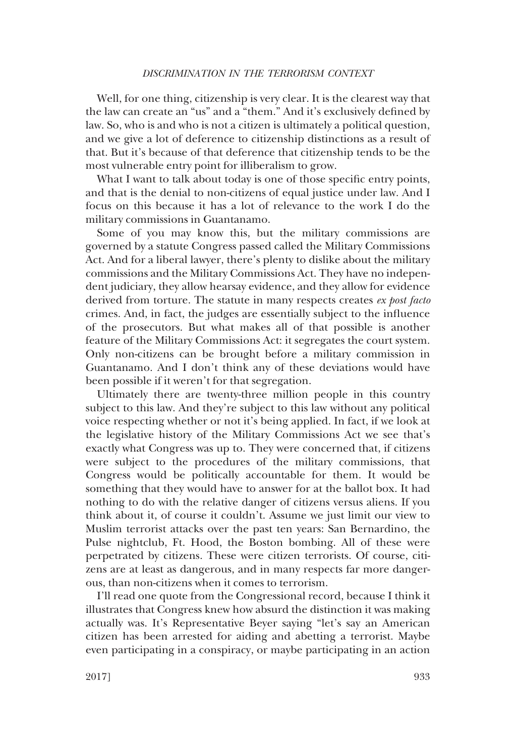## *DISCRIMINATION IN THE TERRORISM CONTEXT*

Well, for one thing, citizenship is very clear. It is the clearest way that the law can create an "us" and a "them." And it's exclusively defined by law. So, who is and who is not a citizen is ultimately a political question, and we give a lot of deference to citizenship distinctions as a result of that. But it's because of that deference that citizenship tends to be the most vulnerable entry point for illiberalism to grow.

What I want to talk about today is one of those specific entry points, and that is the denial to non-citizens of equal justice under law. And I focus on this because it has a lot of relevance to the work I do the military commissions in Guantanamo.

Some of you may know this, but the military commissions are governed by a statute Congress passed called the Military Commissions Act. And for a liberal lawyer, there's plenty to dislike about the military commissions and the Military Commissions Act. They have no independent judiciary, they allow hearsay evidence, and they allow for evidence derived from torture. The statute in many respects creates *ex post facto* crimes. And, in fact, the judges are essentially subject to the influence of the prosecutors. But what makes all of that possible is another feature of the Military Commissions Act: it segregates the court system. Only non-citizens can be brought before a military commission in Guantanamo. And I don't think any of these deviations would have been possible if it weren't for that segregation.

Ultimately there are twenty-three million people in this country subject to this law. And they're subject to this law without any political voice respecting whether or not it's being applied. In fact, if we look at the legislative history of the Military Commissions Act we see that's exactly what Congress was up to. They were concerned that, if citizens were subject to the procedures of the military commissions, that Congress would be politically accountable for them. It would be something that they would have to answer for at the ballot box. It had nothing to do with the relative danger of citizens versus aliens. If you think about it, of course it couldn't. Assume we just limit our view to Muslim terrorist attacks over the past ten years: San Bernardino, the Pulse nightclub, Ft. Hood, the Boston bombing. All of these were perpetrated by citizens. These were citizen terrorists. Of course, citizens are at least as dangerous, and in many respects far more dangerous, than non-citizens when it comes to terrorism.

I'll read one quote from the Congressional record, because I think it illustrates that Congress knew how absurd the distinction it was making actually was. It's Representative Beyer saying "let's say an American citizen has been arrested for aiding and abetting a terrorist. Maybe even participating in a conspiracy, or maybe participating in an action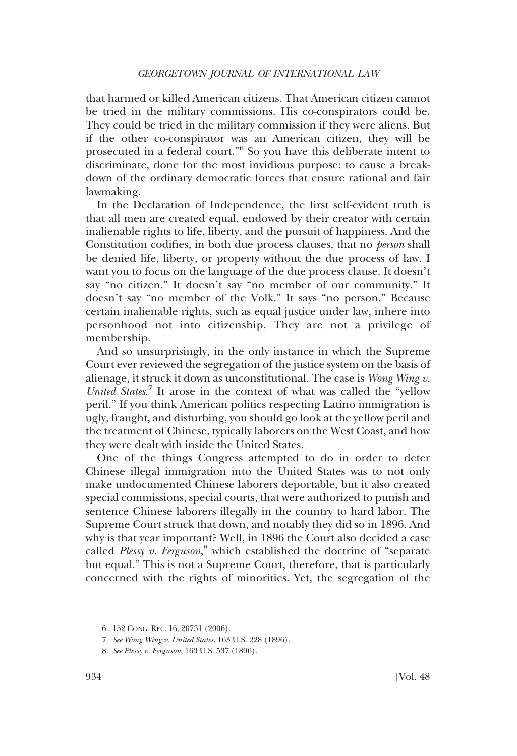that harmed or killed American citizens. That American citizen cannot be tried in the military commissions. His co-conspirators could be. They could be tried in the military commission if they were aliens. But if the other co-conspirator was an American citizen, they will be prosecuted in a federal court." <sup>6</sup> So you have this deliberate intent to discriminate, done for the most invidious purpose: to cause a breakdown of the ordinary democratic forces that ensure rational and fair lawmaking.

In the Declaration of Independence, the first self-evident truth is that all men are created equal, endowed by their creator with certain inalienable rights to life, liberty, and the pursuit of happiness. And the Constitution codifies, in both due process clauses, that no *person* shall be denied life, liberty, or property without the due process of law. I want you to focus on the language of the due process clause. It doesn't say "no citizen." It doesn't say "no member of our community." It doesn't say "no member of the Volk." It says "no person." Because certain inalienable rights, such as equal justice under law, inhere into personhood not into citizenship. They are not a privilege of membership.

And so unsurprisingly, in the only instance in which the Supreme Court ever reviewed the segregation of the justice system on the basis of alienage, it struck it down as unconstitutional. The case is *Wong Wing v. United States*. <sup>7</sup> It arose in the context of what was called the "yellow peril." If you think American politics respecting Latino immigration is ugly, fraught, and disturbing, you should go look at the yellow peril and the treatment of Chinese, typically laborers on the West Coast, and how they were dealt with inside the United States.

One of the things Congress attempted to do in order to deter Chinese illegal immigration into the United States was to not only make undocumented Chinese laborers deportable, but it also created special commissions, special courts, that were authorized to punish and sentence Chinese laborers illegally in the country to hard labor. The Supreme Court struck that down, and notably they did so in 1896. And why is that year important? Well, in 1896 the Court also decided a case called *Plessy v. Ferguson*, <sup>8</sup> which established the doctrine of "separate but equal." This is not a Supreme Court, therefore, that is particularly concerned with the rights of minorities. Yet, the segregation of the

<sup>6.</sup> 152 CONG. REC. 16, 20731 (2006).

<sup>7.</sup> *See Wong Wing v. United States*, 163 U.S. 228 (1896).

<sup>8.</sup> *See Plessy v. Ferguson*, 163 U.S. 537 (1896).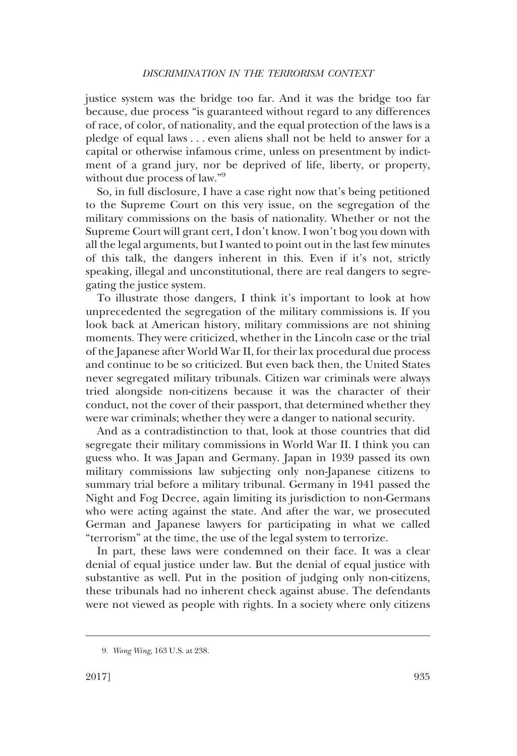justice system was the bridge too far. And it was the bridge too far because, due process "is guaranteed without regard to any differences of race, of color, of nationality, and the equal protection of the laws is a pledge of equal laws ... even aliens shall not be held to answer for a capital or otherwise infamous crime, unless on presentment by indictment of a grand jury, nor be deprived of life, liberty, or property, without due process of law."9

So, in full disclosure, I have a case right now that's being petitioned to the Supreme Court on this very issue, on the segregation of the military commissions on the basis of nationality. Whether or not the Supreme Court will grant cert, I don't know. I won't bog you down with all the legal arguments, but I wanted to point out in the last few minutes of this talk, the dangers inherent in this. Even if it's not, strictly speaking, illegal and unconstitutional, there are real dangers to segregating the justice system.

To illustrate those dangers, I think it's important to look at how unprecedented the segregation of the military commissions is. If you look back at American history, military commissions are not shining moments. They were criticized, whether in the Lincoln case or the trial of the Japanese after World War II, for their lax procedural due process and continue to be so criticized. But even back then, the United States never segregated military tribunals. Citizen war criminals were always tried alongside non-citizens because it was the character of their conduct, not the cover of their passport, that determined whether they were war criminals; whether they were a danger to national security.

And as a contradistinction to that, look at those countries that did segregate their military commissions in World War II. I think you can guess who. It was Japan and Germany. Japan in 1939 passed its own military commissions law subjecting only non-Japanese citizens to summary trial before a military tribunal. Germany in 1941 passed the Night and Fog Decree, again limiting its jurisdiction to non-Germans who were acting against the state. And after the war, we prosecuted German and Japanese lawyers for participating in what we called "terrorism" at the time, the use of the legal system to terrorize.

In part, these laws were condemned on their face. It was a clear denial of equal justice under law. But the denial of equal justice with substantive as well. Put in the position of judging only non-citizens, these tribunals had no inherent check against abuse. The defendants were not viewed as people with rights. In a society where only citizens

<sup>9.</sup> *Wong Wing*, 163 U.S. at 238.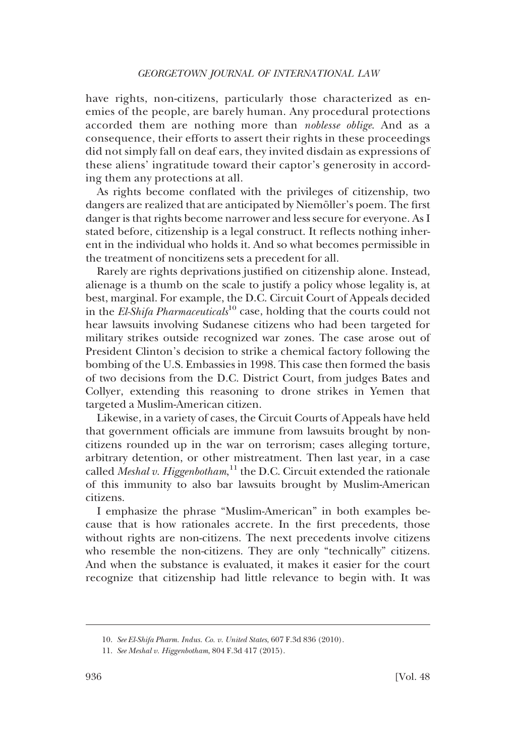have rights, non-citizens, particularly those characterized as enemies of the people, are barely human. Any procedural protections accorded them are nothing more than *noblesse oblige*. And as a consequence, their efforts to assert their rights in these proceedings did not simply fall on deaf ears, they invited disdain as expressions of these aliens' ingratitude toward their captor's generosity in according them any protections at all.

As rights become conflated with the privileges of citizenship, two dangers are realized that are anticipated by Niemöller's poem. The first danger is that rights become narrower and less secure for everyone. As I stated before, citizenship is a legal construct. It reflects nothing inherent in the individual who holds it. And so what becomes permissible in the treatment of noncitizens sets a precedent for all.

Rarely are rights deprivations justified on citizenship alone. Instead, alienage is a thumb on the scale to justify a policy whose legality is, at best, marginal. For example, the D.C. Circuit Court of Appeals decided in the *El-Shifa Pharmaceuticals*<sup>10</sup> case, holding that the courts could not hear lawsuits involving Sudanese citizens who had been targeted for military strikes outside recognized war zones. The case arose out of President Clinton's decision to strike a chemical factory following the bombing of the U.S. Embassies in 1998. This case then formed the basis of two decisions from the D.C. District Court, from judges Bates and Collyer, extending this reasoning to drone strikes in Yemen that targeted a Muslim-American citizen.

Likewise, in a variety of cases, the Circuit Courts of Appeals have held that government officials are immune from lawsuits brought by noncitizens rounded up in the war on terrorism; cases alleging torture, arbitrary detention, or other mistreatment. Then last year, in a case called *Meshal v. Higgenbotham*, <sup>11</sup> the D.C. Circuit extended the rationale of this immunity to also bar lawsuits brought by Muslim-American citizens.

I emphasize the phrase "Muslim-American" in both examples because that is how rationales accrete. In the first precedents, those without rights are non-citizens. The next precedents involve citizens who resemble the non-citizens. They are only "technically" citizens. And when the substance is evaluated, it makes it easier for the court recognize that citizenship had little relevance to begin with. It was

<sup>10.</sup> *See El-Shifa Pharm. Indus. Co. v. United States*, 607 F.3d 836 (2010).

<sup>11.</sup> *See Meshal v. Higgenbotham*, 804 F.3d 417 (2015).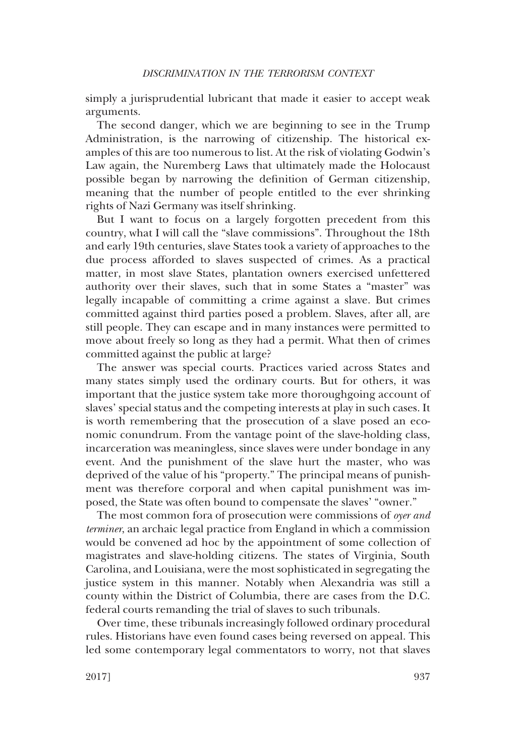simply a jurisprudential lubricant that made it easier to accept weak arguments.

The second danger, which we are beginning to see in the Trump Administration, is the narrowing of citizenship. The historical examples of this are too numerous to list. At the risk of violating Godwin's Law again, the Nuremberg Laws that ultimately made the Holocaust possible began by narrowing the definition of German citizenship, meaning that the number of people entitled to the ever shrinking rights of Nazi Germany was itself shrinking.

But I want to focus on a largely forgotten precedent from this country, what I will call the "slave commissions". Throughout the 18th and early 19th centuries, slave States took a variety of approaches to the due process afforded to slaves suspected of crimes. As a practical matter, in most slave States, plantation owners exercised unfettered authority over their slaves, such that in some States a "master" was legally incapable of committing a crime against a slave. But crimes committed against third parties posed a problem. Slaves, after all, are still people. They can escape and in many instances were permitted to move about freely so long as they had a permit. What then of crimes committed against the public at large?

The answer was special courts. Practices varied across States and many states simply used the ordinary courts. But for others, it was important that the justice system take more thoroughgoing account of slaves' special status and the competing interests at play in such cases. It is worth remembering that the prosecution of a slave posed an economic conundrum. From the vantage point of the slave-holding class, incarceration was meaningless, since slaves were under bondage in any event. And the punishment of the slave hurt the master, who was deprived of the value of his "property." The principal means of punishment was therefore corporal and when capital punishment was imposed, the State was often bound to compensate the slaves' "owner."

The most common fora of prosecution were commissions of *oyer and terminer*, an archaic legal practice from England in which a commission would be convened ad hoc by the appointment of some collection of magistrates and slave-holding citizens. The states of Virginia, South Carolina, and Louisiana, were the most sophisticated in segregating the justice system in this manner. Notably when Alexandria was still a county within the District of Columbia, there are cases from the D.C. federal courts remanding the trial of slaves to such tribunals.

Over time, these tribunals increasingly followed ordinary procedural rules. Historians have even found cases being reversed on appeal. This led some contemporary legal commentators to worry, not that slaves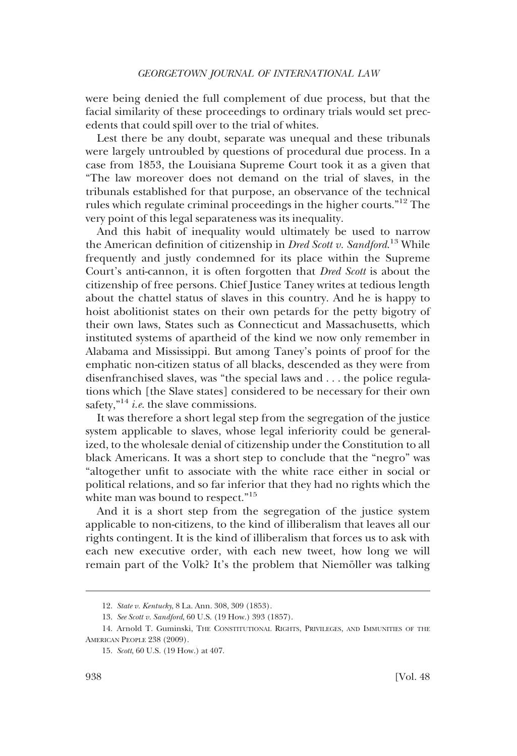were being denied the full complement of due process, but that the facial similarity of these proceedings to ordinary trials would set precedents that could spill over to the trial of whites.

Lest there be any doubt, separate was unequal and these tribunals were largely untroubled by questions of procedural due process. In a case from 1853, the Louisiana Supreme Court took it as a given that "The law moreover does not demand on the trial of slaves, in the tribunals established for that purpose, an observance of the technical rules which regulate criminal proceedings in the higher courts."12 The very point of this legal separateness was its inequality.

And this habit of inequality would ultimately be used to narrow the American definition of citizenship in *Dred Scott v. Sandford*. <sup>13</sup> While frequently and justly condemned for its place within the Supreme Court's anti-cannon, it is often forgotten that *Dred Scott* is about the citizenship of free persons. Chief Justice Taney writes at tedious length about the chattel status of slaves in this country. And he is happy to hoist abolitionist states on their own petards for the petty bigotry of their own laws, States such as Connecticut and Massachusetts, which instituted systems of apartheid of the kind we now only remember in Alabama and Mississippi. But among Taney's points of proof for the emphatic non-citizen status of all blacks, descended as they were from disenfranchised slaves, was "the special laws and ... the police regulations which [the Slave states] considered to be necessary for their own safety,<sup>"14</sup> *i.e.* the slave commissions.

It was therefore a short legal step from the segregation of the justice system applicable to slaves, whose legal inferiority could be generalized, to the wholesale denial of citizenship under the Constitution to all black Americans. It was a short step to conclude that the "negro" was "altogether unfit to associate with the white race either in social or political relations, and so far inferior that they had no rights which the white man was bound to respect."<sup>15</sup>

And it is a short step from the segregation of the justice system applicable to non-citizens, to the kind of illiberalism that leaves all our rights contingent. It is the kind of illiberalism that forces us to ask with each new executive order, with each new tweet, how long we will remain part of the Volk? It's the problem that Niemöller was talking

<sup>12.</sup> *State v. Kentucky*, 8 La. Ann. 308, 309 (1853).

<sup>13.</sup> *See Scott v. Sandford*, 60 U.S. (19 How.) 393 (1857).

<sup>14.</sup> Arnold T. Guminski, THE CONSTITUTIONAL RIGHTS, PRIVILEGES, AND IMMUNITIES OF THE AMERICAN PEOPLE 238 (2009).

<sup>15.</sup> *Scott*, 60 U.S. (19 How.) at 407.